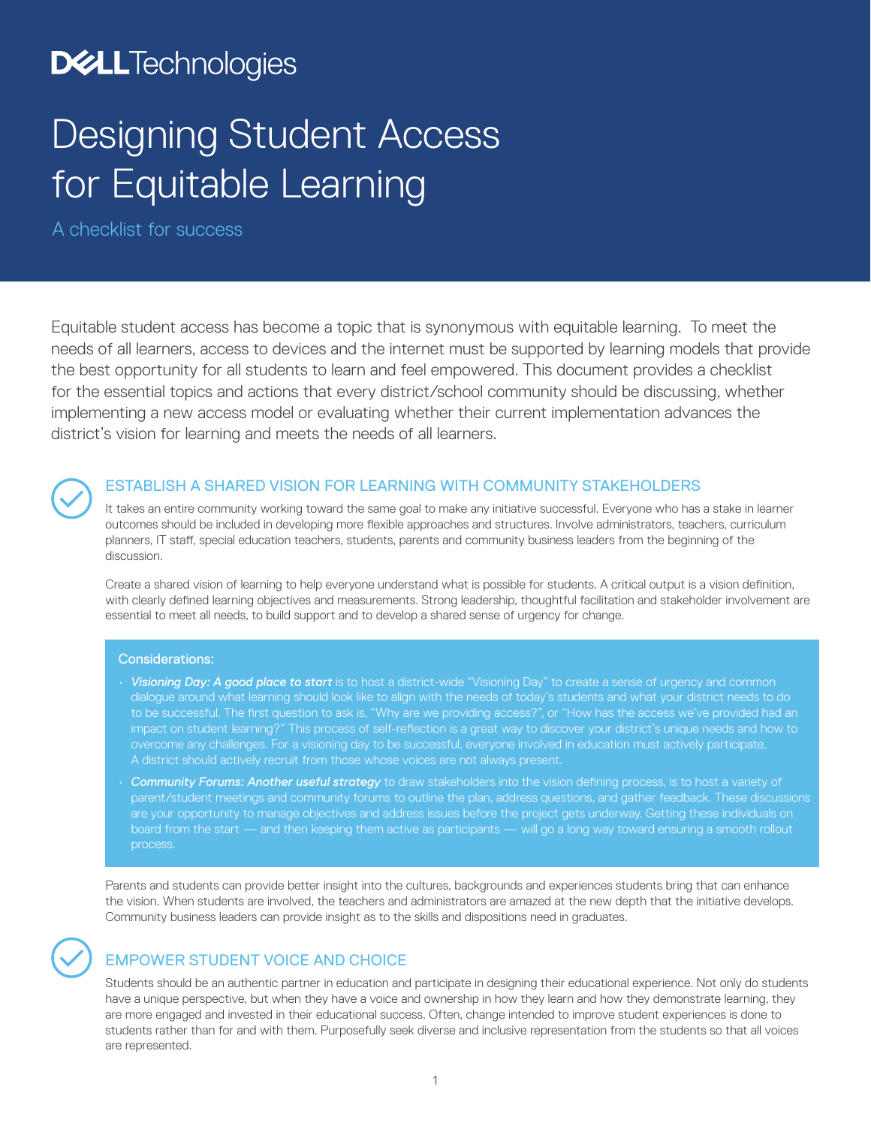## **D&LL**Technologies

# Designing Student Access for Equitable Learning

A checklist for success

Equitable student access has become a topic that is synonymous with equitable learning. To meet the needs of all learners, access to devices and the internet must be supported by learning models that provide the best opportunity for all students to learn and feel empowered. This document provides a checklist for the essential topics and actions that every district/school community should be discussing, whether implementing a new access model or evaluating whether their current implementation advances the district's vision for learning and meets the needs of all learners.



### ESTABLISH A SHARED VISION FOR LEARNING WITH COMMUNITY STAKEHOLDERS

It takes an entire community working toward the same goal to make any initiative successful. Everyone who has a stake in learner outcomes should be included in developing more flexible approaches and structures. Involve administrators, teachers, curriculum planners, IT staff, special education teachers, students, parents and community business leaders from the beginning of the discussion.

Create a shared vision of learning to help everyone understand what is possible for students. A critical output is a vision definition, with clearly defined learning objectives and measurements. Strong leadership, thoughtful facilitation and stakeholder involvement are essential to meet all needs, to build support and to develop a shared sense of urgency for change.

### Considerations:

- *Visioning Day: A good place to start* is to host a district-wide "Visioning Day" to create a sense of urgency and common dialogue around what learning should look like to align with the needs of today's students and what your district needs to do to be successful. The first question to ask is, "Why are we providing access?", or "How has the access we've provided had an impact on student learning?" This process of self-reflection is a great way to discover your district's unique needs and how to overcome any challenges. For a visioning day to be successful, everyone involved in education must actively participate.
- *Community Forums: Another useful strategy* to draw stakeholders into the vision defining process, is to host a variety of parent/student meetings and community forums to outline the plan, address questions, and gather feedback. These discussions are your opportunity to manage objectives and address issues before the project gets underway. Getting these individuals on board from the start — and then keeping them active as participants — will go a long way toward ensuring a smooth rollout process.

Parents and students can provide better insight into the cultures, backgrounds and experiences students bring that can enhance the vision. When students are involved, the teachers and administrators are amazed at the new depth that the initiative develops. Community business leaders can provide insight as to the skills and dispositions need in graduates.

### EMPOWER STUDENT VOICE AND CHOICE

Students should be an authentic partner in education and participate in designing their educational experience. Not only do students have a unique perspective, but when they have a voice and ownership in how they learn and how they demonstrate learning, they are more engaged and invested in their educational success. Often, change intended to improve student experiences is done to students rather than for and with them. Purposefully seek diverse and inclusive representation from the students so that all voices are represented.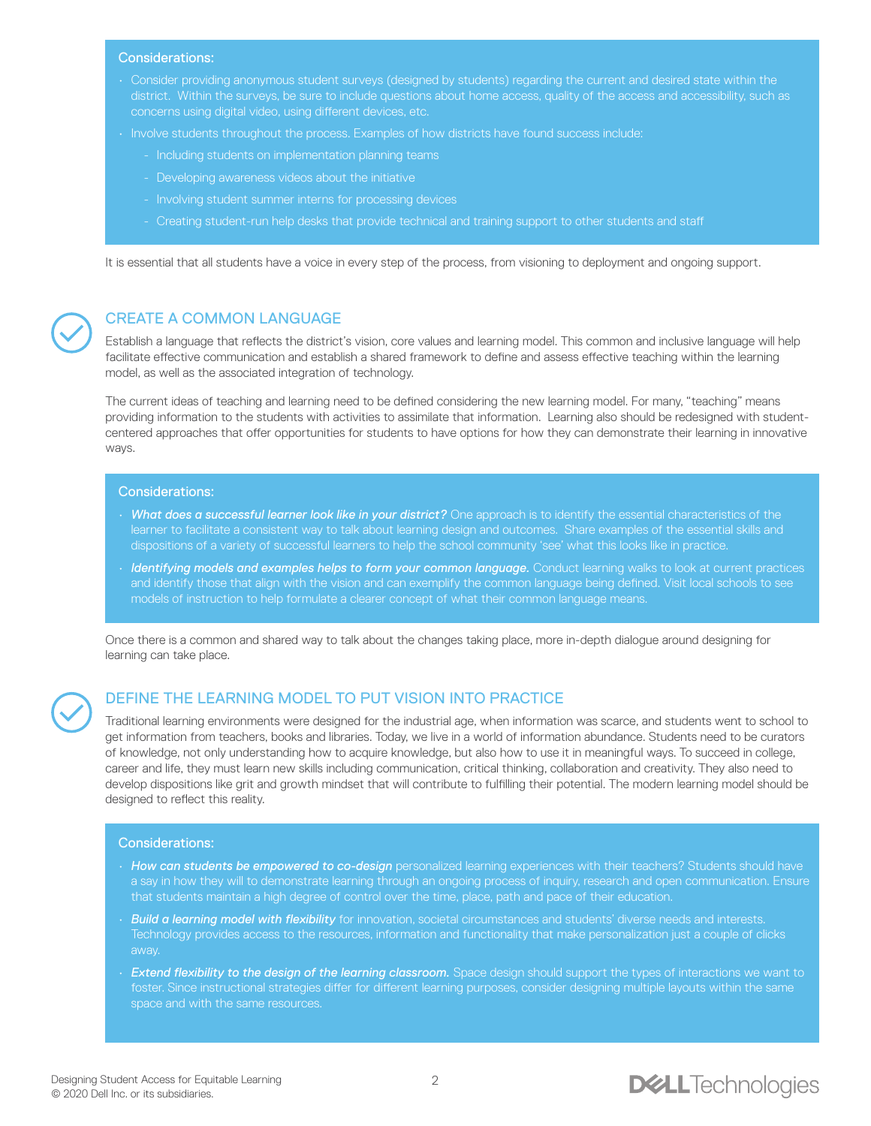#### Considerations:

- Consider providing anonymous student surveys (designed by students) regarding the current and desired state within the district. Within the surveys, be sure to include questions about home access, quality of the access and accessibility, such as concerns using digital video, using different devices, etc.
- Involve students throughout the process. Examples of how districts have found success include:
	- Including students on implementation planning teams
	- Developing awareness videos about the initiative
	- Involving student summer interns for processing devices
	- Creating student-run help desks that provide technical and training support to other students and staff

It is essential that all students have a voice in every step of the process, from visioning to deployment and ongoing support.



### CREATE A COMMON LANGUAGE

Establish a language that reflects the district's vision, core values and learning model. This common and inclusive language will help facilitate effective communication and establish a shared framework to define and assess effective teaching within the learning model, as well as the associated integration of technology.

The current ideas of teaching and learning need to be defined considering the new learning model. For many, "teaching" means providing information to the students with activities to assimilate that information. Learning also should be redesigned with studentcentered approaches that offer opportunities for students to have options for how they can demonstrate their learning in innovative ways.

#### Considerations:

- *What does a successful learner look like in your district?* One approach is to identify the essential characteristics of the learner to facilitate a consistent way to talk about learning design and outcomes. Share examples of the essential skills and dispositions of a variety of successful learners to help the school community 'see' what this looks like in practice.
- *Identifying models and examples helps to form your common language.* Conduct learning walks to look at current practices and identify those that align with the vision and can exemplify the common language being defined. Visit local schools to see models of instruction to help formulate a clearer concept of what their common language means.

Once there is a common and shared way to talk about the changes taking place, more in-depth dialogue around designing for learning can take place.

### DEFINE THE LEARNING MODEL TO PUT VISION INTO PRACTICE

Traditional learning environments were designed for the industrial age, when information was scarce, and students went to school to get information from teachers, books and libraries. Today, we live in a world of information abundance. Students need to be curators of knowledge, not only understanding how to acquire knowledge, but also how to use it in meaningful ways. To succeed in college, career and life, they must learn new skills including communication, critical thinking, collaboration and creativity. They also need to develop dispositions like grit and growth mindset that will contribute to fulfilling their potential. The modern learning model should be designed to reflect this reality.

#### Considerations:

- *How can students be empowered to co-design* personalized learning experiences with their teachers? Students should have a say in how they will to demonstrate learning through an ongoing process of inquiry, research and open communication. Ensure that students maintain a high degree of control over the time, place, path and pace of their education.
- *Build a learning model with flexibility* for innovation, societal circumstances and students' diverse needs and interests. Technology provides access to the resources, information and functionality that make personalization just a couple of clicks away.
- *Extend flexibility to the design of the learning classroom.* Space design should support the types of interactions we want to foster. Since instructional strategies differ for different learning purposes, consider designing multiple layouts within the same space and with the same resources.

### **DELL**Technologies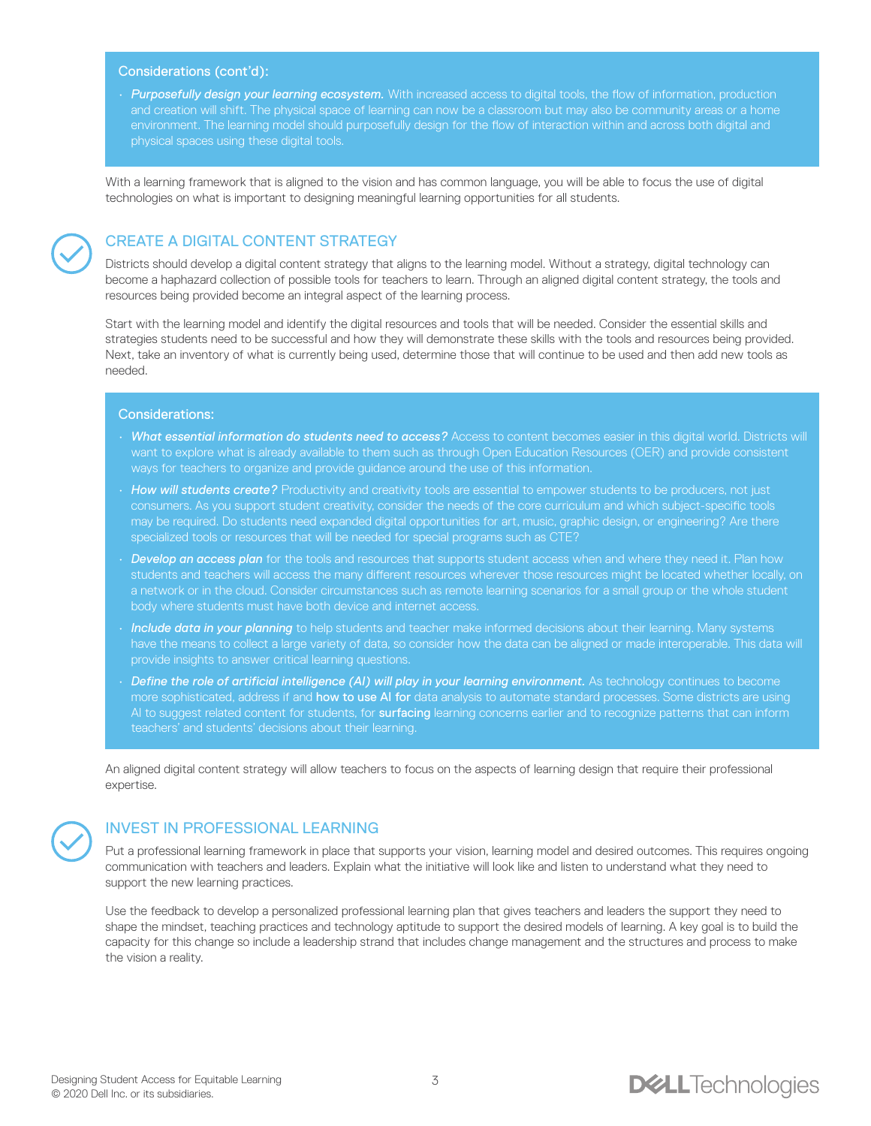### Considerations (cont'd):

• *Purposefully design your learning ecosystem.* With increased access to digital tools, the flow of information, production and creation will shift. The physical space of learning can now be a classroom but may also be community areas or a home environment. The learning model should purposefully design for the flow of interaction within and across both digital and physical spaces using these digital tools.

With a learning framework that is aligned to the vision and has common language, you will be able to focus the use of digital technologies on what is important to designing meaningful learning opportunities for all students.

### CREATE A DIGITAL CONTENT STRATEGY

Districts should develop a digital content strategy that aligns to the learning model. Without a strategy, digital technology can become a haphazard collection of possible tools for teachers to learn. Through an aligned digital content strategy, the tools and resources being provided become an integral aspect of the learning process.

Start with the learning model and identify the digital resources and tools that will be needed. Consider the essential skills and strategies students need to be successful and how they will demonstrate these skills with the tools and resources being provided. Next, take an inventory of what is currently being used, determine those that will continue to be used and then add new tools as needed.

### Considerations:

- *What essential information do students need to access?* Access to content becomes easier in this digital world. Districts will want to explore what is already available to them such as through Open Education Resources (OER) and provide consistent ways for teachers to organize and provide guidance around the use of this information.
- *How will students create?* Productivity and creativity tools are essential to empower students to be producers, not just consumers. As you support student creativity, consider the needs of the core curriculum and which subject-specific tools may be required. Do students need expanded digital opportunities for art, music, graphic design, or engineering? Are there specialized tools or resources that will be needed for special programs such as CTE?
- *Develop an access plan* for the tools and resources that supports student access when and where they need it. Plan how students and teachers will access the many different resources wherever those resources might be located whether locally, on a network or in the cloud. Consider circumstances such as remote learning scenarios for a small group or the whole student body where students must have both device and internet access.
- *Include data in your planning* to help students and teacher make informed decisions about their learning. Many systems have the means to collect a large variety of data, so consider how the data can be aligned or made interoperable. This data will provide insights to answer critical learning questions.
- *Define the role of artificial intelligence (AI) will play in your learning environment.* As technology continues to become more sophisticated, address if and how to use AI for data analysis to automate standard processes. Some districts are using AI to suggest related content for students, for surfacing learning concerns earlier and to recognize patterns that can inform teachers' and students' decisions about their learning.

An aligned digital content strategy will allow teachers to focus on the aspects of learning design that require their professional expertise.

### INVEST IN PROFESSIONAL LEARNING

Put a professional learning framework in place that supports your vision, learning model and desired outcomes. This requires ongoing communication with teachers and leaders. Explain what the initiative will look like and listen to understand what they need to support the new learning practices.

Use the feedback to develop a personalized professional learning plan that gives teachers and leaders the support they need to shape the mindset, teaching practices and technology aptitude to support the desired models of learning. A key goal is to build the capacity for this change so include a leadership strand that includes change management and the structures and process to make the vision a reality.

### **DELL**Technologies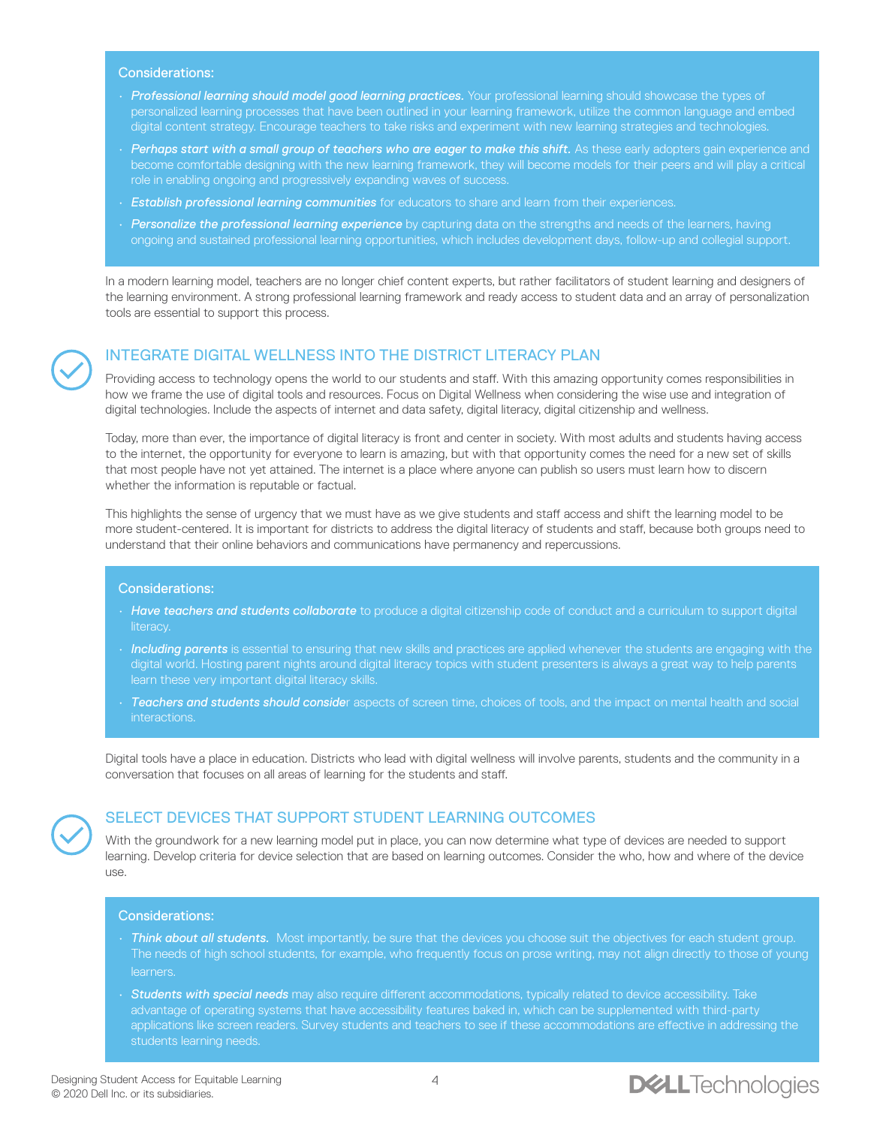### Considerations:

- *Professional learning should model good learning practices.* Your professional learning should showcase the types of personalized learning processes that have been outlined in your learning framework, utilize the common language and embed digital content strategy. Encourage teachers to take risks and experiment with new learning strategies and technologies.
- Perhaps start with a small group of teachers who are eager to make this shift. As these early adopters gain experience and become comfortable designing with the new learning framework, they will become models for their peers and will play a critical role in enabling ongoing and progressively expanding waves of success.
- *Establish professional learning communities* for educators to share and learn from their experiences.
- *Personalize the professional learning experience* by capturing data on the strengths and needs of the learners, having ongoing and sustained professional learning opportunities, which includes development days, follow-up and collegial support.

In a modern learning model, teachers are no longer chief content experts, but rather facilitators of student learning and designers of the learning environment. A strong professional learning framework and ready access to student data and an array of personalization tools are essential to support this process.



### INTEGRATE DIGITAL WELLNESS INTO THE DISTRICT LITERACY PLAN

Providing access to technology opens the world to our students and staff. With this amazing opportunity comes responsibilities in how we frame the use of digital tools and resources. Focus on Digital Wellness when considering the wise use and integration of digital technologies. Include the aspects of internet and data safety, digital literacy, digital citizenship and wellness.

Today, more than ever, the importance of digital literacy is front and center in society. With most adults and students having access to the internet, the opportunity for everyone to learn is amazing, but with that opportunity comes the need for a new set of skills that most people have not yet attained. The internet is a place where anyone can publish so users must learn how to discern whether the information is reputable or factual.

This highlights the sense of urgency that we must have as we give students and staff access and shift the learning model to be more student-centered. It is important for districts to address the digital literacy of students and staff, because both groups need to understand that their online behaviors and communications have permanency and repercussions.

### Considerations:

- *Have teachers and students collaborate* to produce a digital citizenship code of conduct and a curriculum to support digital literacy.
- *Including parents* is essential to ensuring that new skills and practices are applied whenever the students are engaging with the digital world. Hosting parent nights around digital literacy topics with student presenters is always a great way to help parents learn these very important digital literacy skills.
- *Teachers and students should conside*r aspects of screen time, choices of tools, and the impact on mental health and social interactions.

Digital tools have a place in education. Districts who lead with digital wellness will involve parents, students and the community in a conversation that focuses on all areas of learning for the students and staff.



### SELECT DEVICES THAT SUPPORT STUDENT LEARNING OUTCOMES

With the groundwork for a new learning model put in place, you can now determine what type of devices are needed to support learning. Develop criteria for device selection that are based on learning outcomes. Consider the who, how and where of the device use.

### Considerations:

- *Think about all students.* Most importantly, be sure that the devices you choose suit the objectives for each student group. The needs of high school students, for example, who frequently focus on prose writing, may not align directly to those of young learners.
- *Students with special needs* may also require different accommodations, typically related to device accessibility. Take advantage of operating systems that have accessibility features baked in, which can be supplemented with third-party applications like screen readers. Survey students and teachers to see if these accommodations are effective in addressing the

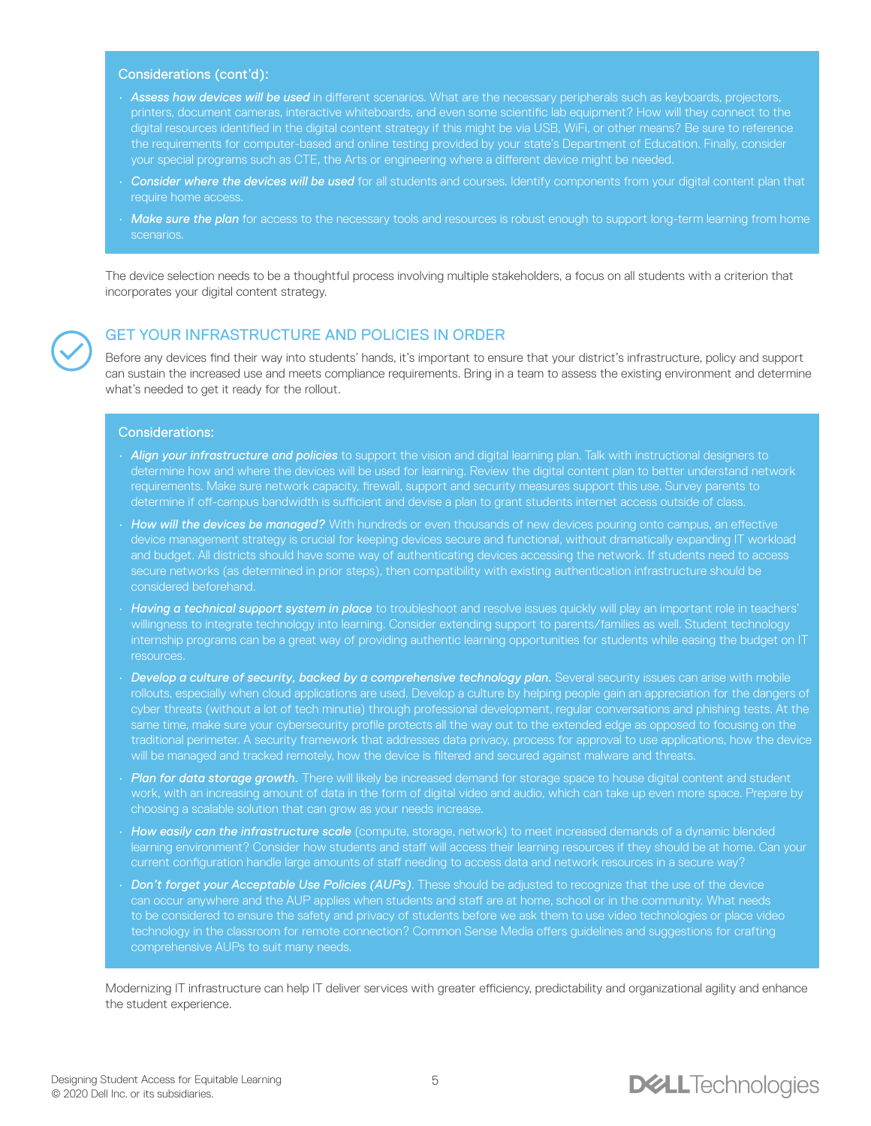#### Considerations (cont'd):

- *Assess how devices will be used* in different scenarios. What are the necessary peripherals such as keyboards, projectors, printers, document cameras, interactive whiteboards, and even some scientific lab equipment? How will they connect to the digital resources identified in the digital content strategy if this might be via USB, WiFi, or other means? Be sure to reference the requirements for computer-based and online testing provided by your state's Department of Education. Finally, consider your special programs such as CTE, the Arts or engineering where a different device might be needed.
- *Consider where the devices will be used* for all students and courses. Identify components from your digital content plan that require home access.
- *Make sure the plan* for access to the necessary tools and resources is robust enough to support long-term learning from home scenarios.

The device selection needs to be a thoughtful process involving multiple stakeholders, a focus on all students with a criterion that incorporates your digital content strategy.

### GET YOUR INFRASTRUCTURE AND POLICIES IN ORDER

Before any devices find their way into students' hands, it's important to ensure that your district's infrastructure, policy and support can sustain the increased use and meets compliance requirements. Bring in a team to assess the existing environment and determine what's needed to get it ready for the rollout.

### Considerations:

- *Align your infrastructure and policies* to support the vision and digital learning plan. Talk with instructional designers to determine how and where the devices will be used for learning. Review the digital content plan to better understand network requirements. Make sure network capacity, firewall, support and security measures support this use. Survey parents to determine if off-campus bandwidth is sufficient and devise a plan to grant students internet access outside of class.
- *How will the devices be managed?* With hundreds or even thousands of new devices pouring onto campus, an effective device management strategy is crucial for keeping devices secure and functional, without dramatically expanding IT workload and budget. All districts should have some way of authenticating devices accessing the network. If students need to access secure networks (as determined in prior steps), then compatibility with existing authentication infrastructure should be considered beforehand.
- *Having a technical support system in place* to troubleshoot and resolve issues quickly will play an important role in teachers' willingness to integrate technology into learning. Consider extending support to parents/families as well. Student technology internship programs can be a great way of providing authentic learning opportunities for students while easing the budget on IT resources.
- *Develop a culture of security, backed by a comprehensive technology plan.* Several security issues can arise with mobile rollouts, especially when cloud applications are used. Develop a culture by helping people gain an appreciation for the dangers of cyber threats (without a lot of tech minutia) through professional development, regular conversations and phishing tests. At the same time, make sure your cybersecurity profile protects all the way out to the extended edge as opposed to focusing on the traditional perimeter. A security framework that addresses data privacy, process for approval to use applications, how the device will be managed and tracked remotely, how the device is filtered and secured against malware and threats.
- *Plan for data storage growth.* There will likely be increased demand for storage space to house digital content and student work, with an increasing amount of data in the form of digital video and audio, which can take up even more space. Prepare by choosing a scalable solution that can grow as your needs increase.
- *How easily can the infrastructure scale* (compute, storage, network) to meet increased demands of a dynamic blended learning environment? Consider how students and staff will access their learning resources if they should be at home. Can your current configuration handle large amounts of staff needing to access data and network resources in a secure way?
- *Don't forget your Acceptable Use Policies (AUPs)*. These should be adjusted to recognize that the use of the device can occur anywhere and the AUP applies when students and staff are at home, school or in the community. What needs to be considered to ensure the safety and privacy of students before we ask them to use video technologies or place video technology in the classroom for remote connection? Common Sense Media offers guidelines and suggestions for crafting

Modernizing IT infrastructure can help IT deliver services with greater efficiency, predictability and organizational agility and enhance the student experience.

### **DELL**Technologies